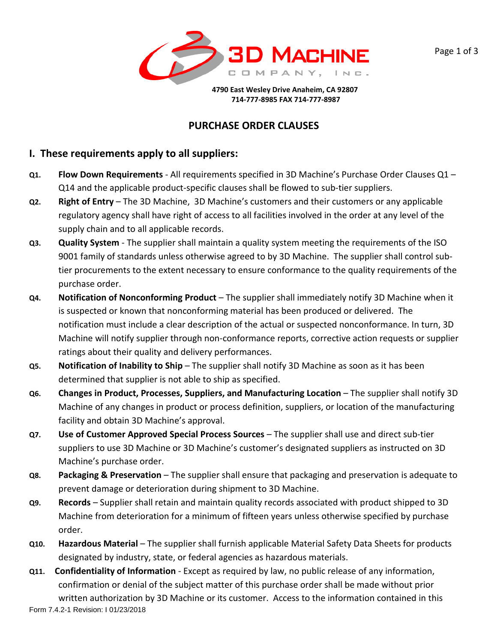



 **4790 East Wesley Drive Anaheim, CA 92807 714-777-8985 FAX 714-777-8987**

# **PURCHASE ORDER CLAUSES**

## **I. These requirements apply to all suppliers:**

- **Q1. Flow Down Requirements**  All requirements specified in 3D Machine's Purchase Order Clauses Q1 Q14 and the applicable product-specific clauses shall be flowed to sub-tier suppliers.
- **Q2. Right of Entry** The 3D Machine, 3D Machine's customers and their customers or any applicable regulatory agency shall have right of access to all facilities involved in the order at any level of the supply chain and to all applicable records.
- **Q3. Quality System**  The supplier shall maintain a quality system meeting the requirements of the ISO 9001 family of standards unless otherwise agreed to by 3D Machine. The supplier shall control subtier procurements to the extent necessary to ensure conformance to the quality requirements of the purchase order.
- **Q4. Notification of Nonconforming Product**  The supplier shall immediately notify 3D Machine when it is suspected or known that nonconforming material has been produced or delivered. The notification must include a clear description of the actual or suspected nonconformance. In turn, 3D Machine will notify supplier through non-conformance reports, corrective action requests or supplier ratings about their quality and delivery performances.
- **Q5. Notification of Inability to Ship**  The supplier shall notify 3D Machine as soon as it has been determined that supplier is not able to ship as specified.
- **Q6. Changes in Product, Processes, Suppliers, and Manufacturing Location** The supplier shall notify 3D Machine of any changes in product or process definition, suppliers, or location of the manufacturing facility and obtain 3D Machine's approval.
- **Q7. Use of Customer Approved Special Process Sources**  The supplier shall use and direct sub-tier suppliers to use 3D Machine or 3D Machine's customer's designated suppliers as instructed on 3D Machine's purchase order.
- **Q8.** Packaging & Preservation The supplier shall ensure that packaging and preservation is adequate to prevent damage or deterioration during shipment to 3D Machine.
- **Q9. Records**  Supplier shall retain and maintain quality records associated with product shipped to 3D Machine from deterioration for a minimum of fifteen years unless otherwise specified by purchase order.
- **Q10. Hazardous Material**  The supplier shall furnish applicable Material Safety Data Sheets for products designated by industry, state, or federal agencies as hazardous materials.
- **Q11. Confidentiality of Information**  Except as required by law, no public release of any information, confirmation or denial of the subject matter of this purchase order shall be made without prior

Form 7.4.2-1 Revision: I 01/23/2018 written authorization by 3D Machine or its customer. Access to the information contained in this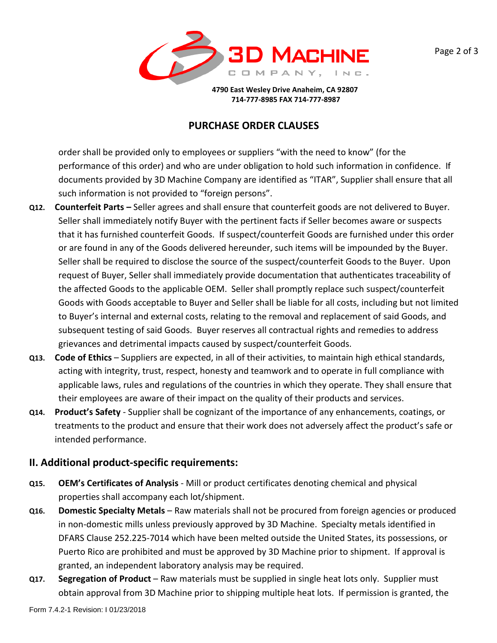



 **4790 East Wesley Drive Anaheim, CA 92807 714-777-8985 FAX 714-777-8987**

#### **PURCHASE ORDER CLAUSES**

order shall be provided only to employees or suppliers "with the need to know" (for the performance of this order) and who are under obligation to hold such information in confidence. If documents provided by 3D Machine Company are identified as "ITAR", Supplier shall ensure that all such information is not provided to "foreign persons".

- **Q12. Counterfeit Parts –** Seller agrees and shall ensure that counterfeit goods are not delivered to Buyer. Seller shall immediately notify Buyer with the pertinent facts if Seller becomes aware or suspects that it has furnished counterfeit Goods. If suspect/counterfeit Goods are furnished under this order or are found in any of the Goods delivered hereunder, such items will be impounded by the Buyer. Seller shall be required to disclose the source of the suspect/counterfeit Goods to the Buyer. Upon request of Buyer, Seller shall immediately provide documentation that authenticates traceability of the affected Goods to the applicable OEM. Seller shall promptly replace such suspect/counterfeit Goods with Goods acceptable to Buyer and Seller shall be liable for all costs, including but not limited to Buyer's internal and external costs, relating to the removal and replacement of said Goods, and subsequent testing of said Goods. Buyer reserves all contractual rights and remedies to address grievances and detrimental impacts caused by suspect/counterfeit Goods.
- **Q13. Code of Ethics**  Suppliers are expected, in all of their activities, to maintain high ethical standards, acting with integrity, trust, respect, honesty and teamwork and to operate in full compliance with applicable laws, rules and regulations of the countries in which they operate. They shall ensure that their employees are aware of their impact on the quality of their products and services.
- **Q14. Product's Safety** Supplier shall be cognizant of the importance of any enhancements, coatings, or treatments to the product and ensure that their work does not adversely affect the product's safe or intended performance.

# **II. Additional product-specific requirements:**

- **Q15. OEM's Certificates of Analysis** Mill or product certificates denoting chemical and physical properties shall accompany each lot/shipment.
- **Q16. Domestic Specialty Metals**  Raw materials shall not be procured from foreign agencies or produced in non-domestic mills unless previously approved by 3D Machine. Specialty metals identified in DFARS Clause 252.225-7014 which have been melted outside the United States, its possessions, or Puerto Rico are prohibited and must be approved by 3D Machine prior to shipment. If approval is granted, an independent laboratory analysis may be required.
- **Q17. Segregation of Product** Raw materials must be supplied in single heat lots only. Supplier must obtain approval from 3D Machine prior to shipping multiple heat lots. If permission is granted, the